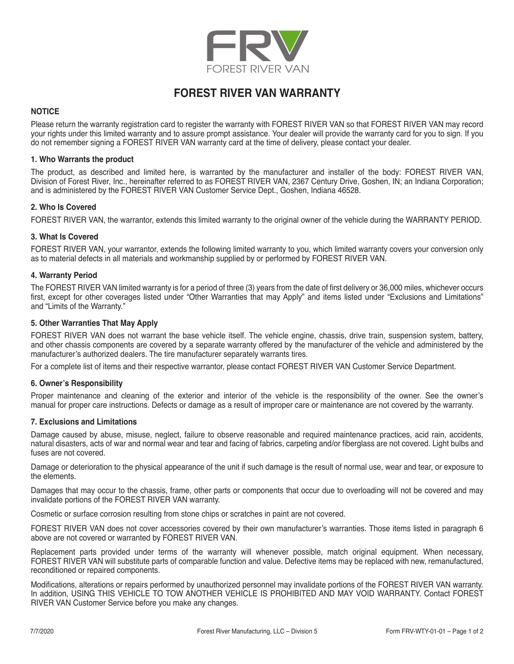

# **FOREST RIVER VAN WARRANTY**

## **NOTICE**

Please return the warranty registration card to register the warranty with FOREST RIVER VAN so that FOREST RIVER VAN may record your rights under this limited warranty and to assure prompt assistance. Your dealer will provide the warranty card for you to sign. If you do not remember signing a FOREST RIVER VAN warranty card at the time of delivery, please contact your dealer.

## **1. Who Warrants the product**

The product, as described and limited here, is warranted by the manufacturer and installer of the body: FOREST RIVER VAN, Division of Forest River, Inc., hereinafter referred to as FOREST RIVER VAN, 2367 Century Drive, Goshen, IN; an Indiana Corporation; and is administered by the FOREST RIVER VAN Customer Service Dept., Goshen, Indiana 46528.

## **2. Who Is Covered**

FOREST RIVER VAN, the warrantor, extends this limited warranty to the original owner of the vehicle during the WARRANTY PERIOD.

## **3. What Is Covered**

FOREST RIVER VAN, your warrantor, extends the following limited warranty to you, which limited warranty covers your conversion only as to material defects in all materials and workmanship supplied by or performed by FOREST RIVER VAN.

## **4. Warranty Period**

The FOREST RIVER VAN limited warranty is for a period of three (3) years from the date of first delivery or 36,000 miles, whichever occurs first, except for other coverages listed under "Other Warranties that may Apply" and items listed under "Exclusions and Limitations" and "Limits of the Warranty."

## **5. Other Warranties That May Apply**

FOREST RIVER VAN does not warrant the base vehicle itself. The vehicle engine, chassis, drive train, suspension system, battery, and other chassis components are covered by a separate warranty offered by the manufacturer of the vehicle and administered by the manufacturer's authorized dealers. The tire manufacturer separately warrants tires.

For a complete list of items and their respective warrantor, please contact FOREST RIVER VAN Customer Service Department.

#### **6. Owner's Responsibility**

Proper maintenance and cleaning of the exterior and interior of the vehicle is the responsibility of the owner. See the owner's manual for proper care instructions. Defects or damage as a result of improper care or maintenance are not covered by the warranty.

#### **7. Exclusions and Limitations**

Damage caused by abuse, misuse, neglect, failure to observe reasonable and required maintenance practices, acid rain, accidents, natural disasters, acts of war and normal wear and tear and facing of fabrics, carpeting and/or fiberglass are not covered. Light bulbs and fuses are not covered.

Damage or deterioration to the physical appearance of the unit if such damage is the result of normal use, wear and tear, or exposure to the elements.

Damages that may occur to the chassis, frame, other parts or components that occur due to overloading will not be covered and may invalidate portions of the FOREST RIVER VAN warranty.

Cosmetic or surface corrosion resulting from stone chips or scratches in paint are not covered.

FOREST RIVER VAN does not cover accessories covered by their own manufacturer's warranties. Those items listed in paragraph 6 above are not covered or warranted by FOREST RIVER VAN.

Replacement parts provided under terms of the warranty will whenever possible, match original equipment. When necessary, FOREST RIVER VAN will substitute parts of comparable function and value. Defective items may be replaced with new, remanufactured, reconditioned or repaired components.

Modifications, alterations or repairs performed by unauthorized personnel may invalidate portions of the FOREST RIVER VAN warranty. In addition, USING THIS VEHICLE TO TOW ANOTHER VEHICLE IS PROHIBITED AND MAY VOID WARRANTY. Contact FOREST RIVER VAN Customer Service before you make any changes.